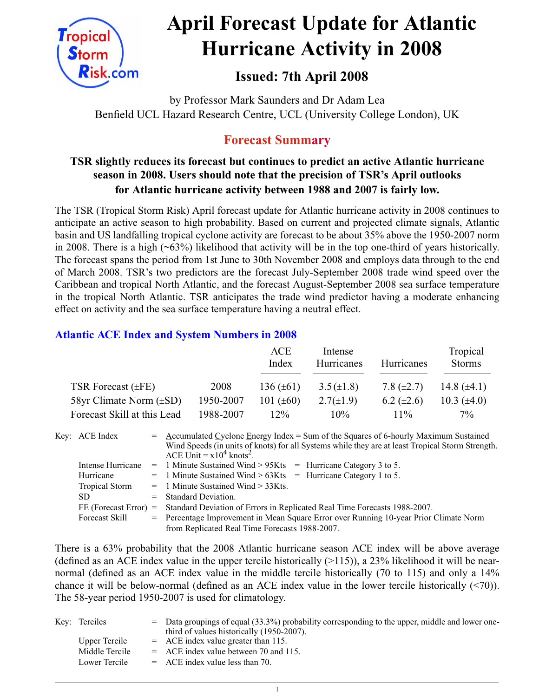

# **April Forecast Update for Atlantic Hurricane Activity in 2008**

# **Issued: 7th April 2008**

by Professor Mark Saunders and Dr Adam Lea Benfield UCL Hazard Research Centre, UCL (University College London), UK

# **Forecast Summary**

### **TSR slightly reduces its forecast but continues to predict an active Atlantic hurricane season in 2008. Users should note that the precision of TSR's April outlooks for Atlantic hurricane activity between 1988 and 2007 is fairly low.**

The TSR (Tropical Storm Risk) April forecast update for Atlantic hurricane activity in 2008 continues to anticipate an active season to high probability. Based on current and projected climate signals, Atlantic basin and US landfalling tropical cyclone activity are forecast to be about 35% above the 1950-2007 norm in 2008. There is a high  $(\sim 63\%)$  likelihood that activity will be in the top one-third of years historically. The forecast spans the period from 1st June to 30th November 2008 and employs data through to the end of March 2008. TSR's two predictors are the forecast July-September 2008 trade wind speed over the Caribbean and tropical North Atlantic, and the forecast August-September 2008 sea surface temperature in the tropical North Atlantic. TSR anticipates the trade wind predictor having a moderate enhancing effect on activity and the sea surface temperature having a neutral effect.

#### **Atlantic ACE Index and System Numbers in 2008**

|                              |           | ACE<br>Index   | Intense<br>Hurricanes | Hurricanes      | Tropical<br><b>Storms</b> |
|------------------------------|-----------|----------------|-----------------------|-----------------|---------------------------|
| TSR Forecast $(\pm FE)$      | 2008      | 136 $(\pm 61)$ | $3.5(\pm 1.8)$        | 7.8 $(\pm 2.7)$ | 14.8 $(\pm 4.1)$          |
| 58yr Climate Norm $(\pm SD)$ | 1950-2007 | 101 $(\pm 60)$ | $2.7(\pm 1.9)$        | 6.2 $(\pm 2.6)$ | 10.3 $(\pm 4.0)$          |
| Forecast Skill at this Lead  | 1988-2007 | $12\%$         | 10%                   | $11\%$          | $7\%$                     |

| Key: ACE Index          | $=$ Accumulated Cyclone Energy Index = Sum of the Squares of 6-hourly Maximum Sustained<br>Wind Speeds (in units of knots) for all Systems while they are at least Tropical Storm Strength.<br>ACE Unit = $x10^4$ knots <sup>2</sup> . |
|-------------------------|----------------------------------------------------------------------------------------------------------------------------------------------------------------------------------------------------------------------------------------|
| Intense Hurricane       | $=$ 1 Minute Sustained Wind > 95Kts $=$ Hurricane Category 3 to 5.                                                                                                                                                                     |
| Hurricane               | $=$ 1 Minute Sustained Wind > 63Kts $=$ Hurricane Category 1 to 5.                                                                                                                                                                     |
| <b>Tropical Storm</b>   | $=$ 1 Minute Sustained Wind $>$ 33Kts.                                                                                                                                                                                                 |
| SD.                     | $=$ Standard Deviation.                                                                                                                                                                                                                |
| $FE$ (Forecast Error) = | Standard Deviation of Errors in Replicated Real Time Forecasts 1988-2007.                                                                                                                                                              |
| <b>Forecast Skill</b>   | = Percentage Improvement in Mean Square Error over Running 10-year Prior Climate Norm                                                                                                                                                  |
|                         | from Replicated Real Time Forecasts 1988-2007.                                                                                                                                                                                         |

There is a 63% probability that the 2008 Atlantic hurricane season ACE index will be above average (defined as an ACE index value in the upper tercile historically  $(>115)$ ), a 23% likelihood it will be nearnormal (defined as an ACE index value in the middle tercile historically (70 to 115) and only a 14% chance it will be below-normal (defined as an ACE index value in the lower tercile historically (<70)). The 58-year period 1950-2007 is used for climatology.

| Key: Terciles  | = Data groupings of equal (33.3%) probability corresponding to the upper, middle and lower one- |
|----------------|-------------------------------------------------------------------------------------------------|
|                | third of values historically (1950-2007).                                                       |
| Upper Tercile  | $=$ ACE index value greater than 115.                                                           |
| Middle Tercile | $=$ ACE index value between 70 and 115.                                                         |
| Lower Tercile  | $=$ ACE index value less than 70.                                                               |
|                |                                                                                                 |

1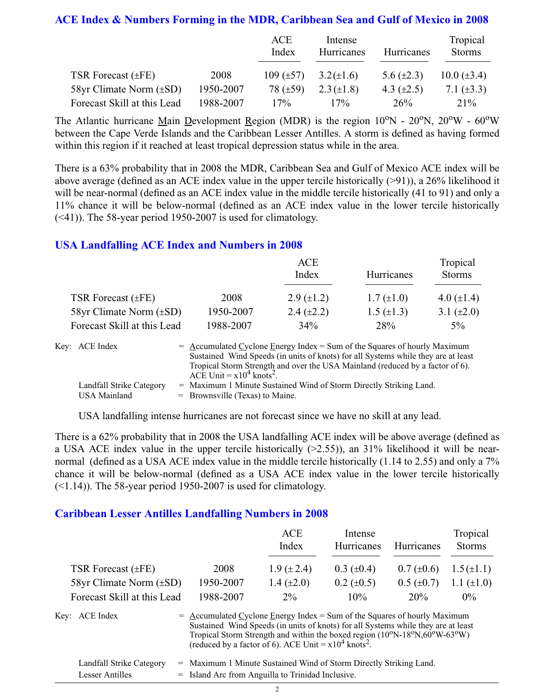#### **ACE Index & Numbers Forming in the MDR, Caribbean Sea and Gulf of Mexico in 2008**

|                             |           | ACE<br>Index   | Intense<br>Hurricanes | Hurricanes      | Tropical<br><b>Storms</b> |
|-----------------------------|-----------|----------------|-----------------------|-----------------|---------------------------|
| TSR Forecast (±FE)          | 2008      | 109 $(\pm 57)$ | $3.2(\pm 1.6)$        | 5.6 $(\pm 2.3)$ | $10.0 (\pm 3.4)$          |
| 58yr Climate Norm (±SD)     | 1950-2007 | 78 $(\pm 59)$  | $2.3 (\pm 1.8)$       | 4.3 $(\pm 2.5)$ | 7.1 $(\pm 3.3)$           |
| Forecast Skill at this Lead | 1988-2007 | 17%            | 17%                   | 26 <sup>%</sup> | $21\%$                    |

The Atlantic hurricane Main Development Region (MDR) is the region  $10^{\circ}N - 20^{\circ}N$ ,  $20^{\circ}W - 60^{\circ}W$ between the Cape Verde Islands and the Caribbean Lesser Antilles. A storm is defined as having formed within this region if it reached at least tropical depression status while in the area.

There is a 63% probability that in 2008 the MDR, Caribbean Sea and Gulf of Mexico ACE index will be above average (defined as an ACE index value in the upper tercile historically  $(>91)$ ), a 26% likelihood it will be near-normal (defined as an ACE index value in the middle tercile historically (41 to 91) and only a 11% chance it will be below-normal (defined as an ACE index value in the lower tercile historically (<41)). The 58-year period 1950-2007 is used for climatology.

#### **USA Landfalling ACE Index and Numbers in 2008**

|                              |           | ACE<br>Index      | Hurricanes        | Tropical<br><b>Storms</b> |
|------------------------------|-----------|-------------------|-------------------|---------------------------|
| TSR Forecast $(\pm FE)$      | 2008      | $2.9 \ (\pm 1.2)$ | $1.7 (\pm 1.0)$   | 4.0 $(\pm 1.4)$           |
| 58yr Climate Norm $(\pm SD)$ | 1950-2007 | $2.4 \ (\pm 2.2)$ | $1.5 \ (\pm 1.3)$ | 3.1 $(\pm 2.0)$           |
| Forecast Skill at this Lead  | 1988-2007 | 34%               | 28%               | $5\%$                     |

| Key: ACE Index           | $=$ Accumulated Cyclone Energy Index $=$ Sum of the Squares of hourly Maximum     |
|--------------------------|-----------------------------------------------------------------------------------|
|                          | Sustained Wind Speeds (in units of knots) for all Systems while they are at least |
|                          | Tropical Storm Strength and over the USA Mainland (reduced by a factor of 6).     |
|                          | ACE Unit $= x104$ knots <sup>2</sup> .                                            |
| Landfall Strike Category | = Maximum 1 Minute Sustained Wind of Storm Directly Striking Land.                |
| USA Mainland             | $=$ Brownsville (Texas) to Maine.                                                 |

USA landfalling intense hurricanes are not forecast since we have no skill at any lead.

There is a 62% probability that in 2008 the USA landfalling ACE index will be above average (defined as a USA ACE index value in the upper tercile historically  $(>2.55)$ ), an 31% likelihood it will be nearnormal (defined as a USA ACE index value in the middle tercile historically (1.14 to 2.55) and only a 7% chance it will be below-normal (defined as a USA ACE index value in the lower tercile historically  $(\leq 1.14)$ ). The 58-year period 1950-2007 is used for climatology.

#### **Caribbean Lesser Antilles Landfalling Numbers in 2008**

|                              |                                                                             | ACE                                                                                                                                                                                                                                   | Intense           |                   | Tropical        |
|------------------------------|-----------------------------------------------------------------------------|---------------------------------------------------------------------------------------------------------------------------------------------------------------------------------------------------------------------------------------|-------------------|-------------------|-----------------|
|                              |                                                                             | Index                                                                                                                                                                                                                                 | <b>Hurricanes</b> | <b>Hurricanes</b> | <b>Storms</b>   |
| TSR Forecast $(\pm FE)$      | 2008                                                                        | $1.9 (\pm 2.4)$                                                                                                                                                                                                                       | $0.3 \ (\pm 0.4)$ | $0.7 (\pm 0.6)$   | $1.5(\pm 1.1)$  |
| 58yr Climate Norm $(\pm SD)$ | 1950-2007                                                                   | 1.4 $(\pm 2.0)$                                                                                                                                                                                                                       | $0.2 \ (\pm 0.5)$ | $0.5 \ (\pm 0.7)$ | 1.1 $(\pm 1.0)$ |
| Forecast Skill at this Lead  | 1988-2007                                                                   | $2\%$                                                                                                                                                                                                                                 | 10%               | 20%               | $0\%$           |
| Key: ACE Index               | $=$ Accumulated Cyclone Energy Index = Sum of the Squares of hourly Maximum | Sustained Wind Speeds (in units of knots) for all Systems while they are at least<br>Tropical Storm Strength and within the boxed region (10°N-18°N,60°W-63°W)<br>(reduced by a factor of 6). ACE Unit = $x10^4$ knots <sup>2</sup> . |                   |                   |                 |
| Landfall Strike Category     | = Maximum 1 Minute Sustained Wind of Storm Directly Striking Land.          |                                                                                                                                                                                                                                       |                   |                   |                 |

Lesser Antilles  $=$  Island Arc from Anguilla to Trinidad Inclusive.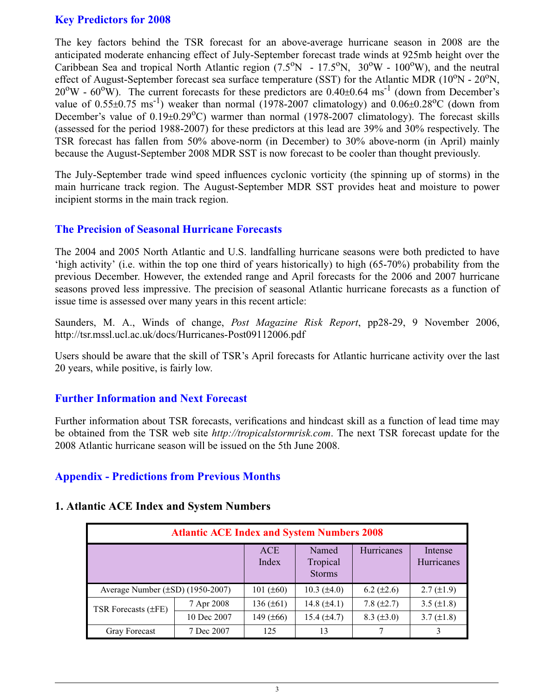#### **Key Predictors for 2008**

The key factors behind the TSR forecast for an above-average hurricane season in 2008 are the anticipated moderate enhancing effect of July-September forecast trade winds at 925mb height over the Caribbean Sea and tropical North Atlantic region  $(7.5^{\circ}N - 17.5^{\circ}N, 30^{\circ}W - 100^{\circ}W)$ , and the neutral effect of August-September forecast sea surface temperature (SST) for the Atlantic MDR ( $10^{\circ}$ N -  $20^{\circ}$ N,  $20^{\circ}$ W -  $60^{\circ}$ W). The current forecasts for these predictors are  $0.40\pm0.64$  ms<sup>-1</sup> (down from December's value of  $0.55\pm0.75$  ms<sup>-1</sup>) weaker than normal (1978-2007 climatology) and  $0.06\pm0.28$ <sup>o</sup>C (down from December's value of  $0.19\pm0.29^{\circ}$ C) warmer than normal (1978-2007 climatology). The forecast skills (assessed for the period 1988-2007) for these predictors at this lead are 39% and 30% respectively. The TSR forecast has fallen from 50% above-norm (in December) to 30% above-norm (in April) mainly because the August-September 2008 MDR SST is now forecast to be cooler than thought previously.

The July-September trade wind speed influences cyclonic vorticity (the spinning up of storms) in the main hurricane track region. The August-September MDR SST provides heat and moisture to power incipient storms in the main track region.

#### **The Precision of Seasonal Hurricane Forecasts**

The 2004 and 2005 North Atlantic and U.S. landfalling hurricane seasons were both predicted to have 'high activity' (i.e. within the top one third of years historically) to high (65-70%) probability from the previous December. However, the extended range and April forecasts for the 2006 and 2007 hurricane seasons proved less impressive. The precision of seasonal Atlantic hurricane forecasts as a function of issue time is assessed over many years in this recent article:

Saunders, M. A., Winds of change, *Post Magazine Risk Report*, pp28-29, 9 November 2006, http://tsr.mssl.ucl.ac.uk/docs/Hurricanes-Post09112006.pdf

Users should be aware that the skill of TSR's April forecasts for Atlantic hurricane activity over the last 20 years, while positive, is fairly low.

#### **Further Information and Next Forecast**

Further information about TSR forecasts, verifications and hindcast skill as a function of lead time may be obtained from the TSR web site *http://tropicalstormrisk.com*. The next TSR forecast update for the 2008 Atlantic hurricane season will be issued on the 5th June 2008.

#### **Appendix - Predictions from Previous Months**

#### **1. Atlantic ACE Index and System Numbers**

| <b>Atlantic ACE Index and System Numbers 2008</b> |             |                     |                                    |                   |                       |  |  |
|---------------------------------------------------|-------------|---------------------|------------------------------------|-------------------|-----------------------|--|--|
|                                                   |             | <b>ACE</b><br>Index | Named<br>Tropical<br><b>Storms</b> | Hurricanes        | Intense<br>Hurricanes |  |  |
| Average Number $(\pm SD)$ (1950-2007)             |             | 101 $(\pm 60)$      | $10.3 \ (\pm 4.0)$                 | $6.2 \ (\pm 2.6)$ | $2.7 (\pm 1.9)$       |  |  |
| TSR Forecasts $(\pm FE)$                          | 7 Apr 2008  | $136 (\pm 61)$      | 14.8 $(\pm 4.1)$                   | 7.8 $(\pm 2.7)$   | 3.5 $(\pm 1.8)$       |  |  |
|                                                   | 10 Dec 2007 | 149 $(\pm 66)$      | $15.4 (\pm 4.7)$                   | $8.3 (\pm 3.0)$   | $3.7 (\pm 1.8)$       |  |  |
| <b>Gray Forecast</b>                              | 7 Dec 2007  | 125                 | 13                                 |                   |                       |  |  |